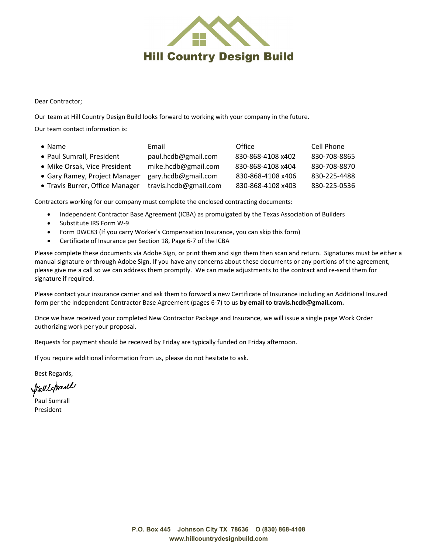

Dear Contractor;

Our team at Hill Country Design Build looks forward to working with your company in the future.

Our team contact information is:

| $\bullet$ Name                  | Email                 | Office            | Cell Phone   |
|---------------------------------|-----------------------|-------------------|--------------|
| • Paul Sumrall, President       | paul.hcdb@gmail.com   | 830-868-4108 x402 | 830-708-8865 |
| • Mike Orsak, Vice President    | mike.hcdb@gmail.com   | 830-868-4108 x404 | 830-708-8870 |
| • Gary Ramey, Project Manager   | gary.hcdb@gmail.com   | 830-868-4108 x406 | 830-225-4488 |
| • Travis Burrer, Office Manager | travis.hcdb@gmail.com | 830-868-4108 x403 | 830-225-0536 |

Contractors working for our company must complete the enclosed contracting documents:

- Independent Contractor Base Agreement (ICBA) as promulgated by the Texas Association of Builders
- Substitute IRS Form W-9
- Form DWC83 (If you carry Worker's Compensation Insurance, you can skip this form)
- Certificate of Insurance per Section 18, Page 6-7 of the ICBA

Please complete these documents via Adobe Sign, or print them and sign them then scan and return. Signatures must be either a manual signature or through Adobe Sign. If you have any concerns about these documents or any portions of the agreement, please give me a call so we can address them promptly. We can made adjustments to the contract and re-send them for signature if required.

Please contact your insurance carrier and ask them to forward a new Certificate of Insurance including an Additional Insured form per the Independent Contractor Base Agreement (pages 6-7) to us **by email t[o travis.hcdb@gmail.com.](mailto:travis.hcdb@gmail.com)**

Once we have received your completed New Contractor Package and Insurance, we will issue a single page Work Order authorizing work per your proposal.

Requests for payment should be received by Friday are typically funded on Friday afternoon.

If you require additional information from us, please do not hesitate to ask.

Best Regards,

Paul Simill

Paul Sumrall President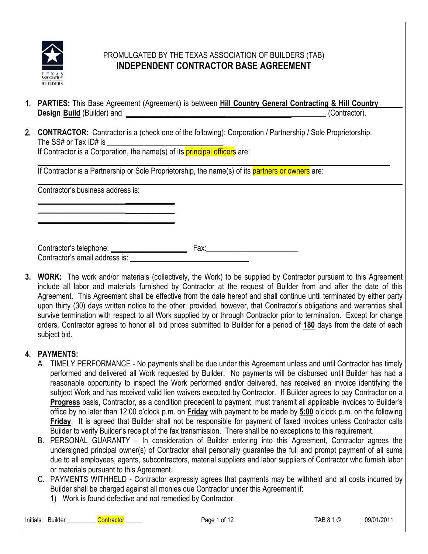

## PROMULGATED BY THE TEXAS ASSOCIATION OF BUILDERS (TAB) **INDEPENDENT CONTRACTOR BASE AGREEMENT**

- 1. **PARTIES:** This Base Agreement (Agreement) is between **Hill Country General Contracting & Hill Country Design Build** (Builder) and **Design Build** (Contractor).
- 2. **CONTRACTOR:** Contractor is a (check one of the following): Corporation / Partnership / Sole Proprietorship. The SS# or Tax ID# is **\_\_\_\_\_\_\_\_\_\_\_\_\_\_\_\_\_\_\_\_\_\_\_\_\_\_\_\_\_\_**.

If Contractor is a Corporation, the name(s) of its **principal officers** are:

If Contractor is a Partnership or Sole Proprietorship, the name(s) of its **partners or owners** are:

Contractor's business address is:

**\_\_\_\_\_\_\_\_\_\_\_\_\_\_\_\_\_\_\_\_\_\_\_**\_\_\_\_\_\_\_\_\_\_\_\_\_ **\_\_\_\_\_\_\_\_\_\_\_\_\_\_\_\_\_\_\_\_\_\_\_**\_\_\_\_\_\_\_\_\_\_\_\_\_ **\_\_\_\_\_\_\_\_\_\_\_\_\_\_\_\_\_\_\_\_\_\_\_**\_\_\_\_\_\_\_\_\_\_\_\_\_

Contractor's telephone: **\_\_\_\_\_\_\_\_\_\_\_\_\_\_\_\_\_\_\_\_** Fax:**\_\_\_\_\_\_\_\_\_\_\_\_\_\_\_\_\_\_\_\_\_\_\_\_** Contractor's email address is: **\_\_\_\_\_\_\_\_\_\_\_\_\_\_\_\_\_\_\_\_\_\_\_\_\_\_\_\_\_\_\_**

**3. WORK:** The work and/or materials (collectively, the Work) to be supplied by Contractor pursuant to this Agreement include all labor and materials furnished by Contractor at the request of Builder from and after the date of this Agreement. This Agreement shall be effective from the date hereof and shall continue until terminated by either party upon thirty (30) days written notice to the other; provided, however, that Contractor's obligations and warranties shall survive termination with respect to all Work supplied by or through Contractor prior to termination. Except for change orders, Contractor agrees to honor all bid prices submitted to Builder for a period of **180** days from the date of each subject bid.

## **4. PAYMENTS:**

- A. TIMELY PERFORMANCE No payments shall be due under this Agreement unless and until Contractor has timely performed and delivered all Work requested by Builder. No payments will be disbursed until Builder has had a reasonable opportunity to inspect the Work performed and/or delivered, has received an invoice identifying the subject Work and has received valid lien waivers executed by Contractor. If Builder agrees to pay Contractor on a **Progress** basis, Contractor, as a condition precedent to payment, must transmit all applicable invoices to Builder's office by no later than 12:00 o'clock p.m. on **Friday** with payment to be made by **5:00** o'clock p.m. on the following **Friday**. It is agreed that Builder shall not be responsible for payment of faxed invoices unless Contractor calls Builder to verify Builder's receipt of the fax transmission. There shall be no exceptions to this requirement.
- B. PERSONAL GUARANTY In consideration of Builder entering into this Agreement, Contractor agrees the undersigned principal owner(s) of Contractor shall personally guarantee the full and prompt payment of all sums due to all employees, agents, subcontractors, material suppliers and labor suppliers of Contractor who furnish labor or materials pursuant to this Agreement.
- C. PAYMENTS WITHHELD Contractor expressly agrees that payments may be withheld and all costs incurred by Builder shall be charged against all monies due Contractor under this Agreement if:
	- 1) Work is found defective and not remedied by Contractor.

Initials: Builder \_\_\_\_\_\_\_\_\_ Contractor \_\_\_\_\_ Page 1 of 12 TAB 8.1 © 09/01/2011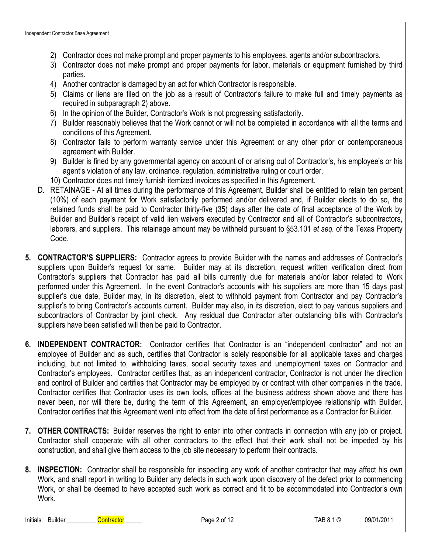- 2) Contractor does not make prompt and proper payments to his employees, agents and/or subcontractors.
- 3) Contractor does not make prompt and proper payments for labor, materials or equipment furnished by third parties.
- 4) Another contractor is damaged by an act for which Contractor is responsible.
- 5) Claims or liens are filed on the job as a result of Contractor's failure to make full and timely payments as required in subparagraph 2) above.
- 6) In the opinion of the Builder, Contractor's Work is not progressing satisfactorily.
- 7) Builder reasonably believes that the Work cannot or will not be completed in accordance with all the terms and conditions of this Agreement.
- 8) Contractor fails to perform warranty service under this Agreement or any other prior or contemporaneous agreement with Builder.
- 9) Builder is fined by any governmental agency on account of or arising out of Contractor's, his employee's or his agent's violation of any law, ordinance, regulation, administrative ruling or court order.
- 10) Contractor does not timely furnish itemized invoices as specified in this Agreement.
- D. RETAINAGE At all times during the performance of this Agreement, Builder shall be entitled to retain ten percent (10%) of each payment for Work satisfactorily performed and/or delivered and, if Builder elects to do so, the retained funds shall be paid to Contractor thirty-five (35) days after the date of final acceptance of the Work by Builder and Builder's receipt of valid lien waivers executed by Contractor and all of Contractor's subcontractors, laborers, and suppliers. This retainage amount may be withheld pursuant to §53.101 *et seq.* of the Texas Property Code.
- **5. CONTRACTOR'S SUPPLIERS:** Contractor agrees to provide Builder with the names and addresses of Contractor's suppliers upon Builder's request for same. Builder may at its discretion, request written verification direct from Contractor's suppliers that Contractor has paid all bills currently due for materials and/or labor related to Work performed under this Agreement. In the event Contractor's accounts with his suppliers are more than 15 days past supplier's due date, Builder may, in its discretion, elect to withhold payment from Contractor and pay Contractor's supplier's to bring Contractor's accounts current. Builder may also, in its discretion, elect to pay various suppliers and subcontractors of Contractor by joint check. Any residual due Contractor after outstanding bills with Contractor's suppliers have been satisfied will then be paid to Contractor.
- **6. INDEPENDENT CONTRACTOR:** Contractor certifies that Contractor is an "independent contractor" and not an employee of Builder and as such, certifies that Contractor is solely responsible for all applicable taxes and charges including, but not limited to, withholding taxes, social security taxes and unemployment taxes on Contractor and Contractor's employees. Contractor certifies that, as an independent contractor, Contractor is not under the direction and control of Builder and certifies that Contractor may be employed by or contract with other companies in the trade. Contractor certifies that Contractor uses its own tools, offices at the business address shown above and there has never been, nor will there be, during the term of this Agreement, an employer/employee relationship with Builder. Contractor certifies that this Agreement went into effect from the date of first performance as a Contractor for Builder.
- **7. OTHER CONTRACTS:** Builder reserves the right to enter into other contracts in connection with any job or project. Contractor shall cooperate with all other contractors to the effect that their work shall not be impeded by his construction, and shall give them access to the job site necessary to perform their contracts.
- **8. INSPECTION:** Contractor shall be responsible for inspecting any work of another contractor that may affect his own Work, and shall report in writing to Builder any defects in such work upon discovery of the defect prior to commencing Work, or shall be deemed to have accepted such work as correct and fit to be accommodated into Contractor's own Work.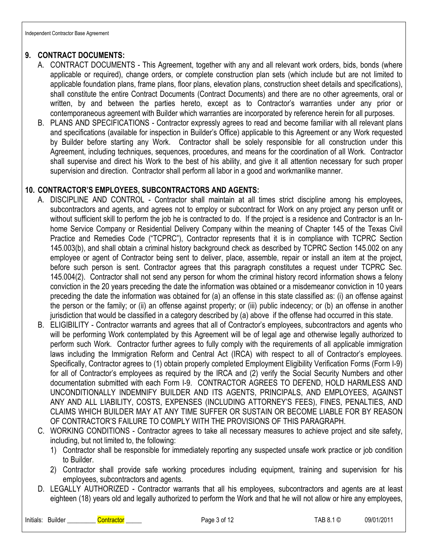## **9. CONTRACT DOCUMENTS:**

- A. CONTRACT DOCUMENTS This Agreement, together with any and all relevant work orders, bids, bonds (where applicable or required), change orders, or complete construction plan sets (which include but are not limited to applicable foundation plans, frame plans, floor plans, elevation plans, construction sheet details and specifications), shall constitute the entire Contract Documents (Contract Documents) and there are no other agreements, oral or written, by and between the parties hereto, except as to Contractor's warranties under any prior or contemporaneous agreement with Builder which warranties are incorporated by reference herein for all purposes.
- B. PLANS AND SPECIFICATIONS Contractor expressly agrees to read and become familiar with all relevant plans and specifications (available for inspection in Builder's Office) applicable to this Agreement or any Work requested by Builder before starting any Work. Contractor shall be solely responsible for all construction under this Agreement, including techniques, sequences, procedures, and means for the coordination of all Work. Contractor shall supervise and direct his Work to the best of his ability, and give it all attention necessary for such proper supervision and direction. Contractor shall perform all labor in a good and workmanlike manner.

#### **10. CONTRACTOR'S EMPLOYEES, SUBCONTRACTORS AND AGENTS:**

- A. DISCIPLINE AND CONTROL Contractor shall maintain at all times strict discipline among his employees, subcontractors and agents, and agrees not to employ or subcontract for Work on any project any person unfit or without sufficient skill to perform the job he is contracted to do. If the project is a residence and Contractor is an Inhome Service Company or Residential Delivery Company within the meaning of Chapter 145 of the Texas Civil Practice and Remedies Code ("TCPRC"), Contractor represents that it is in compliance with TCPRC Section 145.003(b), and shall obtain a criminal history background check as described by TCPRC Section 145.002 on any employee or agent of Contractor being sent to deliver, place, assemble, repair or install an item at the project, before such person is sent. Contractor agrees that this paragraph constitutes a request under TCPRC Sec. 145.004(2). Contractor shall not send any person for whom the criminal history record information shows a felony conviction in the 20 years preceding the date the information was obtained or a misdemeanor conviction in 10 years preceding the date the information was obtained for (a) an offense in this state classified as: (i) an offense against the person or the family; or (ii) an offense against property; or (iii) public indecency; or (b) an offense in another jurisdiction that would be classified in a category described by (a) above if the offense had occurred in this state.
- B. ELIGIBILITY Contractor warrants and agrees that all of Contractor's employees, subcontractors and agents who will be performing Work contemplated by this Agreement will be of legal age and otherwise legally authorized to perform such Work. Contractor further agrees to fully comply with the requirements of all applicable immigration laws including the Immigration Reform and Central Act (IRCA) with respect to all of Contractor's employees. Specifically, Contractor agrees to (1) obtain properly completed Employment Eligibility Verification Forms (Form I-9) for all of Contractor's employees as required by the IRCA and (2) verify the Social Security Numbers and other documentation submitted with each Form I-9. CONTRACTOR AGREES TO DEFEND, HOLD HARMLESS AND UNCONDITIONALLY INDEMNIFY BUILDER AND ITS AGENTS, PRINCIPALS, AND EMPLOYEES, AGAINST ANY AND ALL LIABILITY, COSTS, EXPENSES (INCLUDING ATTORNEY'S FEES), FINES, PENALTIES, AND CLAIMS WHICH BUILDER MAY AT ANY TIME SUFFER OR SUSTAIN OR BECOME LIABLE FOR BY REASON OF CONTRACTOR'S FAILURE TO COMPLY WITH THE PROVISIONS OF THIS PARAGRAPH.
- C. WORKING CONDITIONS Contractor agrees to take all necessary measures to achieve project and site safety, including, but not limited to, the following:
	- 1) Contractor shall be responsible for immediately reporting any suspected unsafe work practice or job condition to Builder.
	- 2) Contractor shall provide safe working procedures including equipment, training and supervision for his employees, subcontractors and agents.
- D. LEGALLY AUTHORIZED Contractor warrants that all his employees, subcontractors and agents are at least eighteen (18) years old and legally authorized to perform the Work and that he will not allow or hire any employees,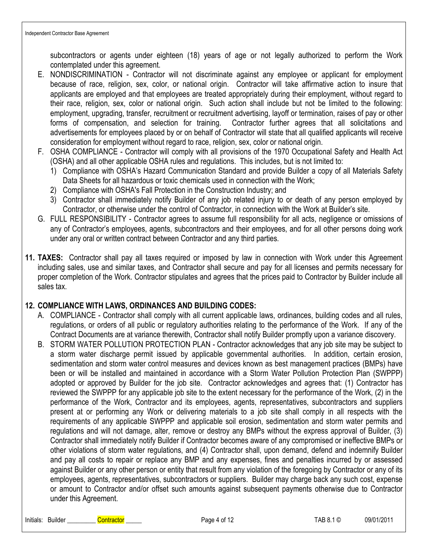subcontractors or agents under eighteen (18) years of age or not legally authorized to perform the Work contemplated under this agreement.

- E. NONDISCRIMINATION Contractor will not discriminate against any employee or applicant for employment because of race, religion, sex, color, or national origin. Contractor will take affirmative action to insure that applicants are employed and that employees are treated appropriately during their employment, without regard to their race, religion, sex, color or national origin. Such action shall include but not be limited to the following: employment, upgrading, transfer, recruitment or recruitment advertising, layoff or termination, raises of pay or other forms of compensation, and selection for training. Contractor further agrees that all solicitations and advertisements for employees placed by or on behalf of Contractor will state that all qualified applicants will receive consideration for employment without regard to race, religion, sex, color or national origin.
- F. OSHA COMPLIANCE Contractor will comply with all provisions of the 1970 Occupational Safety and Health Act (OSHA) and all other applicable OSHA rules and regulations. This includes, but is not limited to:
	- 1) Compliance with OSHA's Hazard Communication Standard and provide Builder a copy of all Materials Safety Data Sheets for all hazardous or toxic chemicals used in connection with the Work;
	- 2) Compliance with OSHA's Fall Protection in the Construction Industry; and
	- 3) Contractor shall immediately notify Builder of any job related injury to or death of any person employed by Contractor, or otherwise under the control of Contractor, in connection with the Work at Builder's site.
- G. FULL RESPONSIBILITY Contractor agrees to assume full responsibility for all acts, negligence or omissions of any of Contractor's employees, agents, subcontractors and their employees, and for all other persons doing work under any oral or written contract between Contractor and any third parties.
- **11. TAXES:** Contractor shall pay all taxes required or imposed by law in connection with Work under this Agreement including sales, use and similar taxes, and Contractor shall secure and pay for all licenses and permits necessary for proper completion of the Work. Contractor stipulates and agrees that the prices paid to Contractor by Builder include all sales tax.

#### **12. COMPLIANCE WITH LAWS, ORDINANCES AND BUILDING CODES:**

- A. COMPLIANCE Contractor shall comply with all current applicable laws, ordinances, building codes and all rules, regulations, or orders of all public or regulatory authorities relating to the performance of the Work. If any of the Contract Documents are at variance therewith, Contractor shall notify Builder promptly upon a variance discovery.
- B. STORM WATER POLLUTION PROTECTION PLAN Contractor acknowledges that any job site may be subject to a storm water discharge permit issued by applicable governmental authorities. In addition, certain erosion, sedimentation and storm water control measures and devices known as best management practices (BMPs) have been or will be installed and maintained in accordance with a Storm Water Pollution Protection Plan (SWPPP) adopted or approved by Builder for the job site. Contractor acknowledges and agrees that: (1) Contractor has reviewed the SWPPP for any applicable job site to the extent necessary for the performance of the Work, (2) in the performance of the Work, Contractor and its employees, agents, representatives, subcontractors and suppliers present at or performing any Work or delivering materials to a job site shall comply in all respects with the requirements of any applicable SWPPP and applicable soil erosion, sedimentation and storm water permits and regulations and will not damage, alter, remove or destroy any BMPs without the express approval of Builder, (3) Contractor shall immediately notify Builder if Contractor becomes aware of any compromised or ineffective BMPs or other violations of storm water regulations, and (4) Contractor shall, upon demand, defend and indemnify Builder and pay all costs to repair or replace any BMP and any expenses, fines and penalties incurred by or assessed against Builder or any other person or entity that result from any violation of the foregoing by Contractor or any of its employees, agents, representatives, subcontractors or suppliers. Builder may charge back any such cost, expense or amount to Contractor and/or offset such amounts against subsequent payments otherwise due to Contractor under this Agreement.

Initials: Builder \_\_\_\_\_\_\_\_\_ Contractor \_\_\_\_\_ Page 4 of 12 TAB 8.1 © 09/01/2011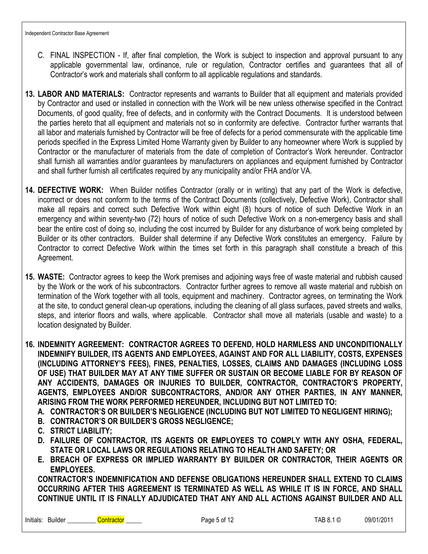- C. FINAL INSPECTION If, after final completion, the Work is subject to inspection and approval pursuant to any applicable governmental law, ordinance, rule or regulation, Contractor certifies and guarantees that all of Contractor's work and materials shall conform to all applicable regulations and standards.
- **13. LABOR AND MATERIALS:** Contractor represents and warrants to Builder that all equipment and materials provided by Contractor and used or installed in connection with the Work will be new unless otherwise specified in the Contract Documents, of good quality, free of defects, and in conformity with the Contract Documents. It is understood between the parties hereto that all equipment and materials not so in conformity are defective. Contractor further warrants that all labor and materials furnished by Contractor will be free of defects for a period commensurate with the applicable time periods specified in the Express Limited Home Warranty given by Builder to any homeowner where Work is supplied by Contractor or the manufacturer of materials from the date of completion of Contractor's Work hereunder. Contractor shall furnish all warranties and/or guarantees by manufacturers on appliances and equipment furnished by Contractor and shall further furnish all certificates required by any municipality and/or FHA and/or VA.
- **14. DEFECTIVE WORK:** When Builder notifies Contractor (orally or in writing) that any part of the Work is defective, incorrect or does not conform to the terms of the Contract Documents (collectively, Defective Work), Contractor shall make all repairs and correct such Defective Work within eight (8) hours of notice of such Defective Work in an emergency and within seventy-two (72) hours of notice of such Defective Work on a non-emergency basis and shall bear the entire cost of doing so, including the cost incurred by Builder for any disturbance of work being completed by Builder or its other contractors. Builder shall determine if any Defective Work constitutes an emergency. Failure by Contractor to correct Defective Work within the times set forth in this paragraph shall constitute a breach of this Agreement.

**15. WASTE:** Contractor agrees to keep the Work premises and adjoining ways free of waste material and rubbish caused by the Work or the work of his subcontractors. Contractor further agrees to remove all waste material and rubbish on termination of the Work together with all tools, equipment and machinery. Contractor agrees, on terminating the Work at the site, to conduct general clean-up operations, including the cleaning of all glass surfaces, paved streets and walks, steps, and interior floors and walls, where applicable. Contractor shall move all materials (usable and waste) to a location designated by Builder.

**16. INDEMNITY AGREEMENT: CONTRACTOR AGREES TO DEFEND, HOLD HARMLESS AND UNCONDITIONALLY INDEMNIFY BUILDER, ITS AGENTS AND EMPLOYEES, AGAINST AND FOR ALL LIABILITY, COSTS, EXPENSES (INCLUDING ATTORNEY'S FEES), FINES, PENALTIES, LOSSES, CLAIMS AND DAMAGES (INCLUDING LOSS OF USE) THAT BUILDER MAY AT ANY TIME SUFFER OR SUSTAIN OR BECOME LIABLE FOR BY REASON OF ANY ACCIDENTS, DAMAGES OR INJURIES TO BUILDER, CONTRACTOR, CONTRACTOR'S PROPERTY, AGENTS, EMPLOYEES AND/OR SUBCONTRACTORS, AND/OR ANY OTHER PARTIES, IN ANY MANNER, ARISING FROM THE WORK PERFORMED HEREUNDER, INCLUDING BUT NOT LIMITED TO:**

- **A. CONTRACTOR'S OR BUILDER'S NEGLIGENCE (INCLUDING BUT NOT LIMITED TO NEGLIGENT HIRING);**
- **B. CONTRACTOR'S OR BUILDER'S GROSS NEGLIGENCE;**
- **C. STRICT LIABILITY;**
- **D. FAILURE OF CONTRACTOR, ITS AGENTS OR EMPLOYEES TO COMPLY WITH ANY OSHA, FEDERAL, STATE OR LOCAL LAWS OR REGULATIONS RELATING TO HEALTH AND SAFETY; OR**
- **E. BREACH OF EXPRESS OR IMPLIED WARRANTY BY BUILDER OR CONTRACTOR, THEIR AGENTS OR EMPLOYEES.**

**CONTRACTOR'S INDEMNIFICATION AND DEFENSE OBLIGATIONS HEREUNDER SHALL EXTEND TO CLAIMS OCCURRING AFTER THIS AGREEMENT IS TERMINATED AS WELL AS WHILE IT IS IN FORCE, AND SHALL CONTINUE UNTIL IT IS FINALLY ADJUDICATED THAT ANY AND ALL ACTIONS AGAINST BUILDER AND ALL**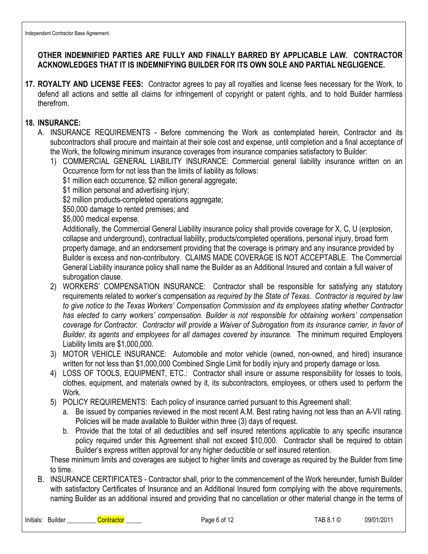### **OTHER INDEMNIFIED PARTIES ARE FULLY AND FINALLY BARRED BY APPLICABLE LAW. CONTRACTOR ACKNOWLEDGES THAT IT IS INDEMNIFYING BUILDER FOR ITS OWN SOLE AND PARTIAL NEGLIGENCE.**

**17. ROYALTY AND LICENSE FEES:** Contractor agrees to pay all royalties and license fees necessary for the Work, to defend all actions and settle all claims for infringement of copyright or patent rights, and to hold Builder harmless therefrom.

#### **18. INSURANCE:**

- A. INSURANCE REQUIREMENTS Before commencing the Work as contemplated herein, Contractor and its subcontractors shall procure and maintain at their sole cost and expense, until completion and a final acceptance of the Work, the following minimum insurance coverages from insurance companies satisfactory to Builder:
	- 1) COMMERCIAL GENERAL LIABILITY INSURANCE: Commercial general liability insurance written on an Occurrence form for not less than the limits of liability as follows:
		- \$1 million each occurrence, \$2 million general aggregate;
		- \$1 million personal and advertising injury;
		- \$2 million products-completed operations aggregate;
		- \$50,000 damage to rented premises; and
		- \$5,000 medical expense.

Additionally, the Commercial General Liability insurance policy shall provide coverage for X, C, U (explosion, collapse and underground), contractual liability, products/completed operations, personal injury, broad form property damage, and an endorsement providing that the coverage is primary and any insurance provided by Builder is excess and non-contributory. CLAIMS MADE COVERAGE IS NOT ACCEPTABLE. The Commercial General Liability insurance policy shall name the Builder as an Additional Insured and contain a full waiver of subrogation clause.

- 2) WORKERS' COMPENSATION INSURANCE: Contractor shall be responsible for satisfying any statutory requirements related to worker's compensation *as required by the State of Texas. Contractor is required by law to give notice to the Texas Workers' Compensation Commission and its employees stating whether Contractor has elected to carry workers' compensation. Builder is not responsible for obtaining workers' compensation coverage for Contractor. Contractor will provide a Waiver of Subrogation from its insurance carrier, in favor of Builder, its agents and employees for all damages covered by insurance.* The minimum required Employers Liability limits are \$1,000,000*.*
- 3) MOTOR VEHICLE INSURANCE: Automobile and motor vehicle (owned, non-owned, and hired) insurance written for not less than \$1,000,000 Combined Single Limit for bodily injury and property damage or loss.
- 4) LOSS OF TOOLS, EQUIPMENT, ETC.: Contractor shall insure or assume responsibility for losses to tools, clothes, equipment, and materials owned by it, its subcontractors, employees, or others used to perform the Work.
- 5) POLICY REQUIREMENTS: Each policy of insurance carried pursuant to this Agreement shall:
	- a. Be issued by companies reviewed in the most recent A.M. Best rating having not less than an A-VII rating. Policies will be made available to Builder within three (3) days of request.
	- b. Provide that the total of all deductibles and self insured retentions applicable to any specific insurance policy required under this Agreement shall not exceed \$10,000. Contractor shall be required to obtain Builder's express written approval for any higher deductible or self insured retention.

These minimum limits and coverages are subject to higher limits and coverage as required by the Builder from time to time.

B. INSURANCE CERTIFICATES - Contractor shall, prior to the commencement of the Work hereunder, furnish Builder with satisfactory Certificates of Insurance and an Additional Insured form complying with the above requirements, naming Builder as an additional insured and providing that no cancellation or other material change in the terms of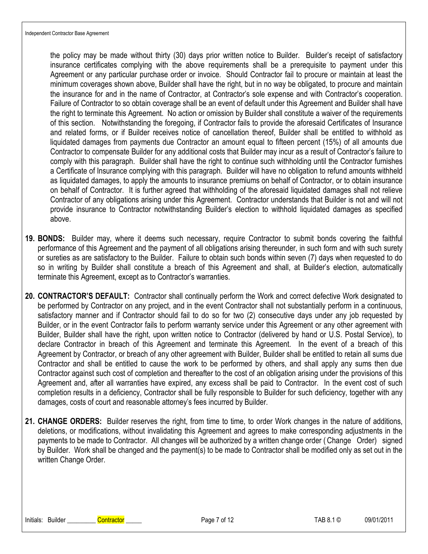the policy may be made without thirty (30) days prior written notice to Builder. Builder's receipt of satisfactory insurance certificates complying with the above requirements shall be a prerequisite to payment under this Agreement or any particular purchase order or invoice. Should Contractor fail to procure or maintain at least the minimum coverages shown above, Builder shall have the right, but in no way be obligated, to procure and maintain the insurance for and in the name of Contractor, at Contractor's sole expense and with Contractor's cooperation. Failure of Contractor to so obtain coverage shall be an event of default under this Agreement and Builder shall have the right to terminate this Agreement. No action or omission by Builder shall constitute a waiver of the requirements of this section. Notwithstanding the foregoing, if Contractor fails to provide the aforesaid Certificates of Insurance and related forms, or if Builder receives notice of cancellation thereof, Builder shall be entitled to withhold as liquidated damages from payments due Contractor an amount equal to fifteen percent (15%) of all amounts due Contractor to compensate Builder for any additional costs that Builder may incur as a result of Contractor's failure to comply with this paragraph. Builder shall have the right to continue such withholding until the Contractor furnishes a Certificate of Insurance complying with this paragraph. Builder will have no obligation to refund amounts withheld as liquidated damages, to apply the amounts to insurance premiums on behalf of Contractor, or to obtain insurance on behalf of Contractor. It is further agreed that withholding of the aforesaid liquidated damages shall not relieve Contractor of any obligations arising under this Agreement. Contractor understands that Builder is not and will not provide insurance to Contractor notwithstanding Builder's election to withhold liquidated damages as specified above.

- **19. BONDS:** Builder may, where it deems such necessary, require Contractor to submit bonds covering the faithful performance of this Agreement and the payment of all obligations arising thereunder, in such form and with such surety or sureties as are satisfactory to the Builder. Failure to obtain such bonds within seven (7) days when requested to do so in writing by Builder shall constitute a breach of this Agreement and shall, at Builder's election, automatically terminate this Agreement, except as to Contractor's warranties.
- **20. CONTRACTOR'S DEFAULT:** Contractor shall continually perform the Work and correct defective Work designated to be performed by Contractor on any project, and in the event Contractor shall not substantially perform in a continuous, satisfactory manner and if Contractor should fail to do so for two (2) consecutive days under any job requested by Builder, or in the event Contractor fails to perform warranty service under this Agreement or any other agreement with Builder, Builder shall have the right, upon written notice to Contractor (delivered by hand or U.S. Postal Service), to declare Contractor in breach of this Agreement and terminate this Agreement. In the event of a breach of this Agreement by Contractor, or breach of any other agreement with Builder, Builder shall be entitled to retain all sums due Contractor and shall be entitled to cause the work to be performed by others, and shall apply any sums then due Contractor against such cost of completion and thereafter to the cost of an obligation arising under the provisions of this Agreement and, after all warranties have expired, any excess shall be paid to Contractor. In the event cost of such completion results in a deficiency, Contractor shall be fully responsible to Builder for such deficiency, together with any damages, costs of court and reasonable attorney's fees incurred by Builder.
- **21. CHANGE ORDERS:** Builder reserves the right, from time to time, to order Work changes in the nature of additions, deletions, or modifications, without invalidating this Agreement and agrees to make corresponding adjustments in the payments to be made to Contractor. All changes will be authorized by a written change order ( Change Order) signed by Builder. Work shall be changed and the payment(s) to be made to Contractor shall be modified only as set out in the written Change Order.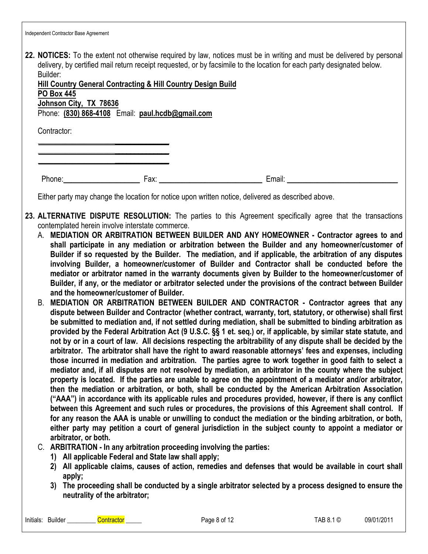| Independent Contractor Base Agreement |  |
|---------------------------------------|--|
|---------------------------------------|--|

**22. NOTICES:** To the extent not otherwise required by law, notices must be in writing and must be delivered by personal delivery, by certified mail return receipt requested, or by facsimile to the location for each party designated below. Builder:

| Hill Country General Contracting & Hill Country Design Build |  |  |  |
|--------------------------------------------------------------|--|--|--|
| <b>PO Box 445</b>                                            |  |  |  |
| Johnson City, TX 78636                                       |  |  |  |
| Phone: (830) 868-4108 Email: paul.hcdb@gmail.com             |  |  |  |

**\_\_\_\_\_\_\_\_\_\_\_\_\_\_\_\_\_\_\_\_**\_\_\_\_\_\_\_\_\_\_\_\_\_\_ **\_\_\_\_\_\_\_\_\_\_\_\_\_\_\_\_\_\_\_\_**\_\_\_\_\_\_\_\_\_\_\_\_\_\_ **\_\_\_\_\_\_\_\_\_\_\_\_\_\_\_\_\_\_\_\_**\_\_\_\_\_\_\_\_\_\_\_\_\_\_

Contractor:

Phone:**\_\_\_\_\_\_\_\_\_\_\_\_\_\_\_\_\_\_\_\_** Fax: **\_\_\_\_\_\_\_\_\_\_\_\_\_\_\_\_\_\_\_\_\_\_\_\_\_\_\_** Email: **\_\_\_\_\_\_\_\_\_\_\_\_\_\_\_\_\_\_\_\_\_\_\_\_\_\_\_\_\_**

Either party may change the location for notice upon written notice, delivered as described above.

- **23. ALTERNATIVE DISPUTE RESOLUTION:** The parties to this Agreement specifically agree that the transactions contemplated herein involve interstate commerce.
	- A. **MEDIATION OR ARBITRATION BETWEEN BUILDER AND ANY HOMEOWNER Contractor agrees to and shall participate in any mediation or arbitration between the Builder and any homeowner/customer of Builder if so requested by the Builder. The mediation, and if applicable, the arbitration of any disputes involving Builder, a homeowner/customer of Builder and Contractor shall be conducted before the mediator or arbitrator named in the warranty documents given by Builder to the homeowner/customer of Builder, if any, or the mediator or arbitrator selected under the provisions of the contract between Builder and the homeowner/customer of Builder.**
	- B. **MEDIATION OR ARBITRATION BETWEEN BUILDER AND CONTRACTOR Contractor agrees that any dispute between Builder and Contractor (whether contract, warranty, tort, statutory, or otherwise) shall first be submitted to mediation and, if not settled during mediation, shall be submitted to binding arbitration as provided by the Federal Arbitration Act (9 U.S.C. §§ 1 et. seq.) or, if applicable, by similar state statute, and not by or in a court of law. All decisions respecting the arbitrability of any dispute shall be decided by the arbitrator. The arbitrator shall have the right to award reasonable attorneys' fees and expenses, including those incurred in mediation and arbitration. The parties agree to work together in good faith to select a mediator and, if all disputes are not resolved by mediation, an arbitrator in the county where the subject property is located. If the parties are unable to agree on the appointment of a mediator and/or arbitrator, then the mediation or arbitration, or both, shall be conducted by the American Arbitration Association ("AAA") in accordance with its applicable rules and procedures provided, however, if there is any conflict between this Agreement and such rules or procedures, the provisions of this Agreement shall control. If for any reason the AAA is unable or unwilling to conduct the mediation or the binding arbitration, or both, either party may petition a court of general jurisdiction in the subject county to appoint a mediator or arbitrator, or both.**
	- C. **ARBITRATION In any arbitration proceeding involving the parties:**
		- **1) All applicable Federal and State law shall apply;**
		- **2) All applicable claims, causes of action, remedies and defenses that would be available in court shall apply;**
		- **3) The proceeding shall be conducted by a single arbitrator selected by a process designed to ensure the neutrality of the arbitrator;**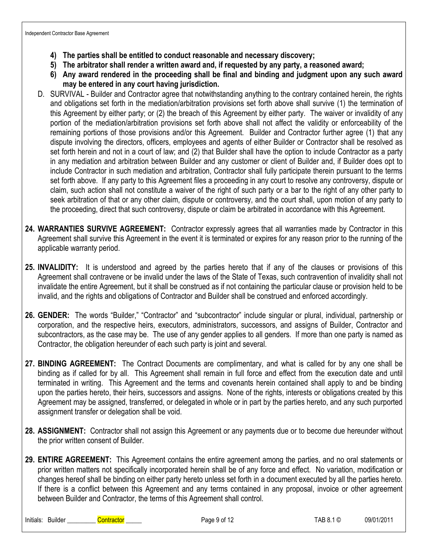- **4) The parties shall be entitled to conduct reasonable and necessary discovery;**
- **5) The arbitrator shall render a written award and, if requested by any party, a reasoned award;**
- **6) Any award rendered in the proceeding shall be final and binding and judgment upon any such award may be entered in any court having jurisdiction.**
- D. SURVIVAL Builder and Contractor agree that notwithstanding anything to the contrary contained herein, the rights and obligations set forth in the mediation/arbitration provisions set forth above shall survive (1) the termination of this Agreement by either party; or (2) the breach of this Agreement by either party. The waiver or invalidity of any portion of the mediation/arbitration provisions set forth above shall not affect the validity or enforceability of the remaining portions of those provisions and/or this Agreement. Builder and Contractor further agree (1) that any dispute involving the directors, officers, employees and agents of either Builder or Contractor shall be resolved as set forth herein and not in a court of law; and (2) that Builder shall have the option to include Contractor as a party in any mediation and arbitration between Builder and any customer or client of Builder and, if Builder does opt to include Contractor in such mediation and arbitration, Contractor shall fully participate therein pursuant to the terms set forth above. If any party to this Agreement files a proceeding in any court to resolve any controversy, dispute or claim, such action shall not constitute a waiver of the right of such party or a bar to the right of any other party to seek arbitration of that or any other claim, dispute or controversy, and the court shall, upon motion of any party to the proceeding, direct that such controversy, dispute or claim be arbitrated in accordance with this Agreement.
- **24. WARRANTIES SURVIVE AGREEMENT:** Contractor expressly agrees that all warranties made by Contractor in this Agreement shall survive this Agreement in the event it is terminated or expires for any reason prior to the running of the applicable warranty period.
- **25. INVALIDITY:** It is understood and agreed by the parties hereto that if any of the clauses or provisions of this Agreement shall contravene or be invalid under the laws of the State of Texas, such contravention of invalidity shall not invalidate the entire Agreement, but it shall be construed as if not containing the particular clause or provision held to be invalid, and the rights and obligations of Contractor and Builder shall be construed and enforced accordingly.
- **26. GENDER:** The words "Builder," "Contractor" and "subcontractor" include singular or plural, individual, partnership or corporation, and the respective heirs, executors, administrators, successors, and assigns of Builder, Contractor and subcontractors, as the case may be. The use of any gender applies to all genders. If more than one party is named as Contractor, the obligation hereunder of each such party is joint and several.
- **27. BINDING AGREEMENT:** The Contract Documents are complimentary, and what is called for by any one shall be binding as if called for by all. This Agreement shall remain in full force and effect from the execution date and until terminated in writing. This Agreement and the terms and covenants herein contained shall apply to and be binding upon the parties hereto, their heirs, successors and assigns. None of the rights, interests or obligations created by this Agreement may be assigned, transferred, or delegated in whole or in part by the parties hereto, and any such purported assignment transfer or delegation shall be void.
- **28. ASSIGNMENT:** Contractor shall not assign this Agreement or any payments due or to become due hereunder without the prior written consent of Builder.
- **29. ENTIRE AGREEMENT:** This Agreement contains the entire agreement among the parties, and no oral statements or prior written matters not specifically incorporated herein shall be of any force and effect. No variation, modification or changes hereof shall be binding on either party hereto unless set forth in a document executed by all the parties hereto. If there is a conflict between this Agreement and any terms contained in any proposal, invoice or other agreement between Builder and Contractor, the terms of this Agreement shall control.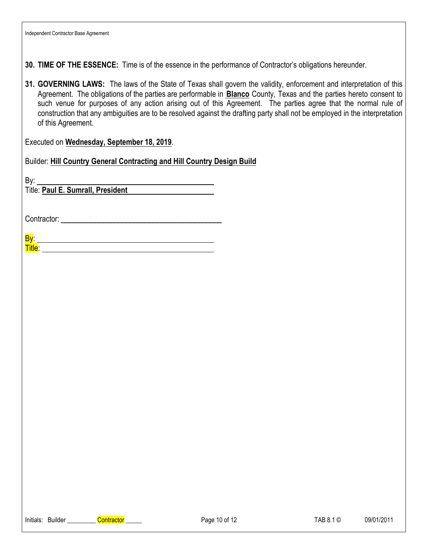**30. TIME OF THE ESSENCE:** Time is of the essence in the performance of Contractor's obligations hereunder.

**31. GOVERNING LAWS:** The laws of the State of Texas shall govern the validity, enforcement and interpretation of this Agreement. The obligations of the parties are performable in **Blanco** County, Texas and the parties hereto consent to such venue for purposes of any action arising out of this Agreement. The parties agree that the normal rule of construction that any ambiguities are to be resolved against the drafting party shall not be employed in the interpretation of this Agreement.

Executed on **Wednesday, September 18, 2019**.

Builder: **Hill Country General Contracting and Hill Country Design Build**

By:

Title: **Paul E. Sumrall, President** 

Contractor:

By: **Title:** The contract of the contract of the contract of the contract of the contract of the contract of the contract of the contract of the contract of the contract of the contract of the contract of the contract of the c

Initials: Builder Contractor Contractor Contractor Contractor Contractor Contractor Page 10 of 12 TAB 8.1 © 09/01/2011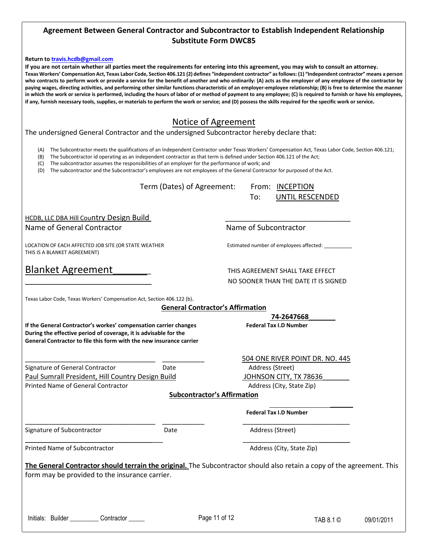#### **Agreement Between General Contractor and Subcontractor to Establish Independent Relationship Substitute Form DWC85**

#### **Return to [travis.hcdb@gmail.com](mailto:travis.hcdb@gmail.com)**

**If you are not certain whether all parties meet the requirements for entering into this agreement, you may wish to consult an attorney. Texas Workers' Compensation Act, Texas Labor Code, Section 406.121 (2) defines "independent contractor" asfollows: (1) "Independent contractor" means a person who contracts to perform work or provide a service for the benefit of another and who ordinarily: (A) acts as the employer of any employee of the contractor by paying wages, directing activities, and performing other similar functions characteristic of an employer-employee relationship; (B) is free to determine the manner in which the work or service is performed, including the hours of labor of or method of payment to any employee; (C) is required to furnish or have his employees, if any, furnish necessary tools, supplies, or materials to perform the work or service; and (D) possess the skills required for the specific work or service.** 

#### Notice of Agreement

The undersigned General Contractor and the undersigned Subcontractor hereby declare that:

- (A) The Subcontractor meets the qualifications of an Independent Contractor under Texas Workers' Compensation Act, Texas Labor Code, Section 406.121;
- (B) The Subcontractor id operating as an independent contractor as that term is defined under Section 406.121 of the Act;
- (C) The subcontractor assumes the responsibilities of an employer for the performance of work; and

(D) The subcontractor and the Subcontractor's employees are not employees of the General Contractor for purposed of the Act.

Term (Dates) of Agreement: From: INCEPTION

To: UNTIL RESCENDED

HCDB, LLC DBA Hill Country Design Build Name of General Contractor **Name of Subcontractor** Name of Subcontractor

LOCATION OF EACH AFFECTED JOB SITE (OR STATE WEATHER FRAMEL FRAMEL STATES STATION OF EACH ASSETCH STATES ON TH THIS IS A BLANKET AGREEMENT)

# Blanket Agreement **Blanket Agreement**

\_\_\_\_\_\_\_\_\_\_\_\_\_\_\_\_\_\_\_\_\_\_\_\_\_\_\_\_\_\_\_\_\_ NO SOONER THAN THE DATE IT IS SIGNED

**74-2647668\_\_\_\_\_\_\_**

Texas Labor Code, Texas Workers' Compensation Act, Section 406.122 (b).

#### **General Contractor's Affirmation**

If the General Contractor's workes' compensation carrier changes **Federal Tax I.D Number During the effective period of coverage, it is advisable for the General Contractor to file this form with the new insurance carrier**

Signature of General Contractor **Contracts** Date **Address (Street)** Address (Street) Paul Sumrall President, Hill Country Design Build France County, TX 78636 Printed Name of General Contractor **Address (City, State Zip)** Address (City, State Zip)

\_\_\_\_\_\_\_\_\_\_\_\_\_\_\_\_\_\_\_\_\_\_\_\_\_\_\_\_\_\_\_\_\_\_ \_\_\_\_\_\_\_\_\_\_\_ 504 ONE RIVER POINT DR. NO. 445

#### **Subcontractor's Affirmation**

**Federal Tax I.D Number**

Signature of Subcontractor The Content Cate Content Date Address (Street)

\_\_\_\_\_\_\_\_\_\_\_\_\_\_\_\_\_\_\_\_\_\_\_\_\_\_\_\_\_\_\_\_\_\_ \_\_\_\_\_\_\_\_\_\_\_ \_\_\_\_\_\_\_\_\_\_\_\_\_\_\_\_\_\_\_\_\_\_\_\_\_\_\_\_

Printed Name of Subcontractor **Address (City, State Zip)** Address (City, State Zip)

\_\_\_\_\_\_\_\_\_\_\_\_\_\_\_\_\_\_\_\_\_\_\_\_\_\_\_\_\_\_\_\_\_\_\_\_ \_\_\_\_\_\_\_\_\_\_\_\_\_\_\_\_\_\_\_\_\_\_\_\_\_\_\_\_

**The General Contractor should terrain the original.** The Subcontractor should also retain a copy of the agreement. This form may be provided to the insurance carrier.

Initials: Builder \_\_\_\_\_\_\_\_\_ Contractor \_\_\_\_\_ example Page 11 of 12 TAB 8.1 © 09/01/2011

 **\_\_\_\_\_\_**